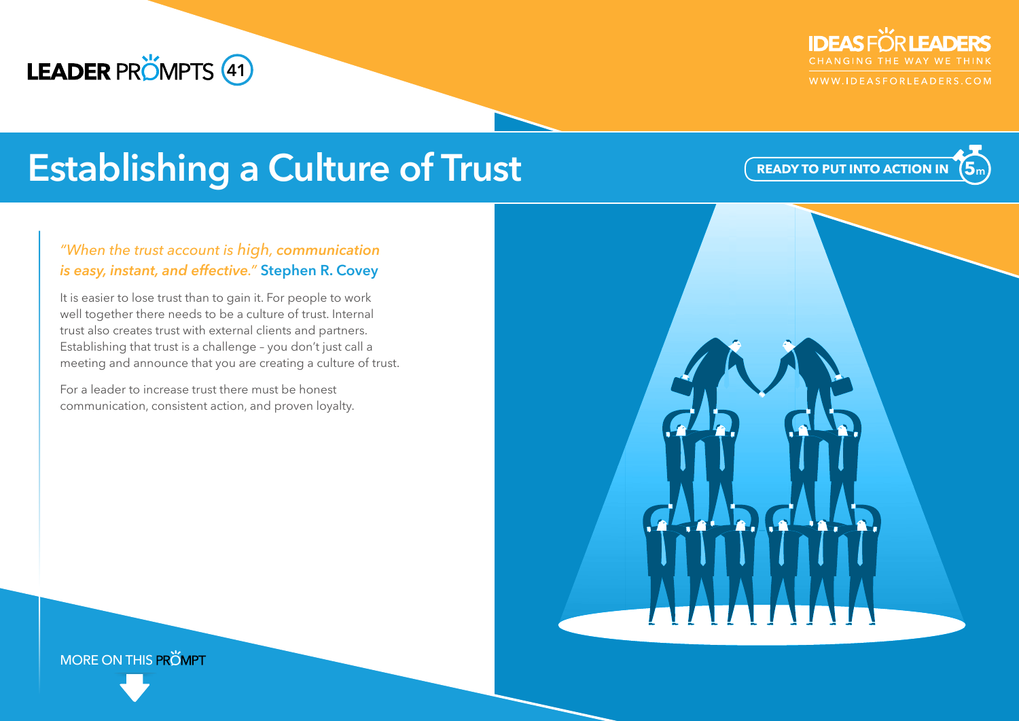# **LEADER PRÖMPTS 41**



WWW.IDEASFORLEADERS.COM

**5<sup>m</sup>**

**READY TO PUT INTO ACTION IN**

# **Establishing a Culture of Trust**

### *"When the trust account is high, communication is easy, instant, and effective."* **Stephen R. Covey**

It is easier to lose trust than to gain it. For people to work well together there needs to be a culture of trust. Internal trust also creates trust with external clients and partners. Establishing that trust is a challenge – you don't just call a meeting and announce that you are creating a culture of trust.

For a leader to increase trust there must be honest communication, consistent action, and proven loyalty.

**MORE ON THIS PROMPT**